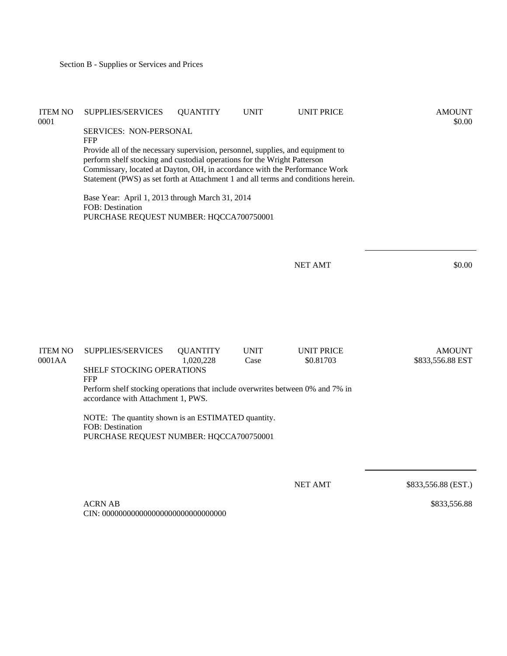| <b>ITEM NO</b><br>0001   | SUPPLIES/SERVICES                                                                                                                                                                                                                                                                                                              | <b>QUANTITY</b>              | <b>UNIT</b>         | <b>UNIT PRICE</b>              | <b>AMOUNT</b><br>\$0.00           |  |
|--------------------------|--------------------------------------------------------------------------------------------------------------------------------------------------------------------------------------------------------------------------------------------------------------------------------------------------------------------------------|------------------------------|---------------------|--------------------------------|-----------------------------------|--|
|                          | SERVICES: NON-PERSONAL<br><b>FFP</b>                                                                                                                                                                                                                                                                                           |                              |                     |                                |                                   |  |
|                          | Provide all of the necessary supervision, personnel, supplies, and equipment to<br>perform shelf stocking and custodial operations for the Wright Patterson<br>Commissary, located at Dayton, OH, in accordance with the Performance Work<br>Statement (PWS) as set forth at Attachment 1 and all terms and conditions herein. |                              |                     |                                |                                   |  |
|                          | Base Year: April 1, 2013 through March 31, 2014<br>FOB: Destination<br>PURCHASE REQUEST NUMBER: HQCCA700750001                                                                                                                                                                                                                 |                              |                     |                                |                                   |  |
|                          |                                                                                                                                                                                                                                                                                                                                |                              |                     | <b>NET AMT</b>                 | \$0.00                            |  |
|                          |                                                                                                                                                                                                                                                                                                                                |                              |                     |                                |                                   |  |
| <b>ITEM NO</b><br>0001AA | SUPPLIES/SERVICES                                                                                                                                                                                                                                                                                                              | <b>QUANTITY</b><br>1,020,228 | <b>UNIT</b><br>Case | <b>UNIT PRICE</b><br>\$0.81703 | <b>AMOUNT</b><br>\$833,556.88 EST |  |
|                          | SHELF STOCKING OPERATIONS<br><b>FFP</b>                                                                                                                                                                                                                                                                                        |                              |                     |                                |                                   |  |
|                          | Perform shelf stocking operations that include overwrites between 0% and 7% in<br>accordance with Attachment 1, PWS.                                                                                                                                                                                                           |                              |                     |                                |                                   |  |
|                          | NOTE: The quantity shown is an ESTIMATED quantity.<br>FOB: Destination<br>PURCHASE REQUEST NUMBER: HQCCA700750001                                                                                                                                                                                                              |                              |                     |                                |                                   |  |
|                          |                                                                                                                                                                                                                                                                                                                                |                              |                     |                                |                                   |  |
|                          |                                                                                                                                                                                                                                                                                                                                |                              |                     | <b>NET AMT</b>                 | \$833,556.88 (EST.)               |  |

ACRN AB CIN: 000000000000000000000000000000 \$833,556.88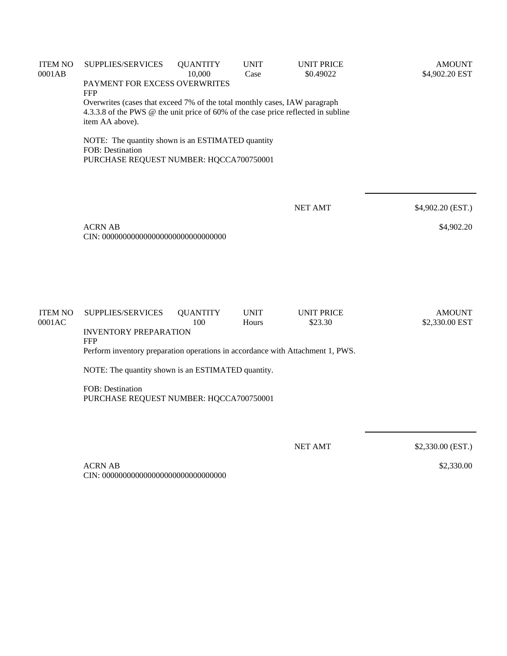| <b>ITEM NO</b><br>0001AB | SUPPLIES/SERVICES                                                                                                                                                                  | <b>QUANTITY</b><br>10,000 | <b>UNIT</b><br>Case | <b>UNIT PRICE</b><br>\$0.49022 | <b>AMOUNT</b><br>\$4,902.20 EST |  |  |
|--------------------------|------------------------------------------------------------------------------------------------------------------------------------------------------------------------------------|---------------------------|---------------------|--------------------------------|---------------------------------|--|--|
|                          | PAYMENT FOR EXCESS OVERWRITES<br><b>FFP</b>                                                                                                                                        |                           |                     |                                |                                 |  |  |
|                          | Overwrites (cases that exceed 7% of the total monthly cases, IAW paragraph<br>4.3.3.8 of the PWS @ the unit price of 60% of the case price reflected in subline<br>item AA above). |                           |                     |                                |                                 |  |  |
|                          | NOTE: The quantity shown is an ESTIMATED quantity<br>FOB: Destination<br>PURCHASE REQUEST NUMBER: HQCCA700750001                                                                   |                           |                     |                                |                                 |  |  |
|                          |                                                                                                                                                                                    |                           |                     | <b>NET AMT</b>                 | \$4,902.20 (EST.)               |  |  |
|                          | <b>ACRN AB</b>                                                                                                                                                                     |                           |                     |                                | \$4,902.20                      |  |  |
| <b>ITEM NO</b>           | SUPPLIES/SERVICES                                                                                                                                                                  | <b>QUANTITY</b>           | <b>UNIT</b>         | <b>UNIT PRICE</b>              | <b>AMOUNT</b>                   |  |  |
| 0001AC                   | <b>INVENTORY PREPARATION</b>                                                                                                                                                       | 100                       | Hours               | \$23.30                        | \$2,330.00 EST                  |  |  |
|                          | <b>FFP</b><br>Perform inventory preparation operations in accordance with Attachment 1, PWS.                                                                                       |                           |                     |                                |                                 |  |  |
|                          | NOTE: The quantity shown is an ESTIMATED quantity.                                                                                                                                 |                           |                     |                                |                                 |  |  |
|                          | FOB: Destination<br>PURCHASE REQUEST NUMBER: HQCCA700750001                                                                                                                        |                           |                     |                                |                                 |  |  |
|                          |                                                                                                                                                                                    |                           |                     | <b>NET AMT</b>                 | \$2,330.00 (EST.)               |  |  |

ACRN AB CIN: 000000000000000000000000000000 \$2,330.00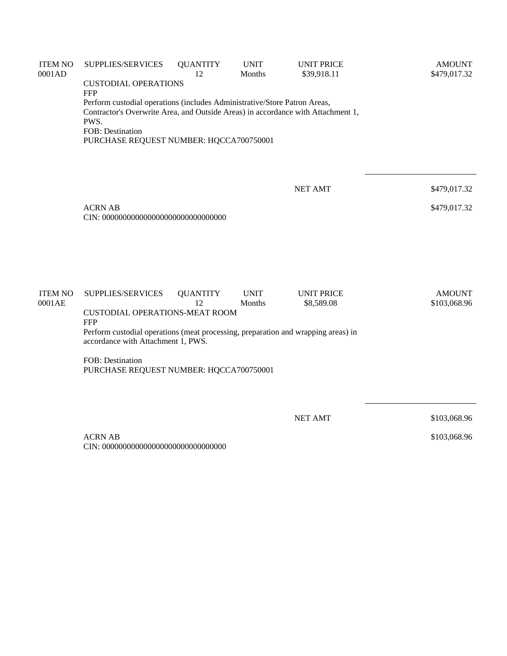| <b>ITEM NO</b><br>0001AD | SUPPLIES/SERVICES                                                                                                                                             | <b>QUANTITY</b><br>12 | <b>UNIT</b><br>Months | <b>UNIT PRICE</b><br>\$39,918.11 | <b>AMOUNT</b><br>\$479,017.32 |  |  |
|--------------------------|---------------------------------------------------------------------------------------------------------------------------------------------------------------|-----------------------|-----------------------|----------------------------------|-------------------------------|--|--|
|                          | <b>CUSTODIAL OPERATIONS</b><br><b>FFP</b>                                                                                                                     |                       |                       |                                  |                               |  |  |
|                          | Perform custodial operations (includes Administrative/Store Patron Areas,<br>Contractor's Overwrite Area, and Outside Areas) in accordance with Attachment 1, |                       |                       |                                  |                               |  |  |
|                          | PWS.                                                                                                                                                          |                       |                       |                                  |                               |  |  |
|                          | FOB: Destination<br>PURCHASE REQUEST NUMBER: HQCCA700750001                                                                                                   |                       |                       |                                  |                               |  |  |
|                          |                                                                                                                                                               |                       |                       |                                  |                               |  |  |
|                          |                                                                                                                                                               |                       |                       |                                  |                               |  |  |
|                          |                                                                                                                                                               |                       |                       | <b>NET AMT</b>                   | \$479,017.32                  |  |  |
|                          | <b>ACRN AB</b>                                                                                                                                                |                       |                       |                                  | \$479,017.32                  |  |  |
|                          |                                                                                                                                                               |                       |                       |                                  |                               |  |  |
|                          |                                                                                                                                                               |                       |                       |                                  |                               |  |  |
|                          |                                                                                                                                                               |                       |                       |                                  |                               |  |  |
| <b>ITEM NO</b>           | SUPPLIES/SERVICES                                                                                                                                             | <b>QUANTITY</b>       | <b>UNIT</b>           | <b>UNIT PRICE</b>                | <b>AMOUNT</b>                 |  |  |
| 0001AE                   |                                                                                                                                                               | 12                    | Months                | \$8,589.08                       | \$103,068.96                  |  |  |
|                          | <b>CUSTODIAL OPERATIONS-MEAT ROOM</b><br>FFP                                                                                                                  |                       |                       |                                  |                               |  |  |
|                          | Perform custodial operations (meat processing, preparation and wrapping areas) in<br>accordance with Attachment 1, PWS.                                       |                       |                       |                                  |                               |  |  |
|                          | FOB: Destination<br>PURCHASE REQUEST NUMBER: HQCCA700750001                                                                                                   |                       |                       |                                  |                               |  |  |
|                          |                                                                                                                                                               |                       |                       |                                  |                               |  |  |
|                          |                                                                                                                                                               |                       |                       |                                  |                               |  |  |
|                          |                                                                                                                                                               |                       |                       | <b>NET AMT</b>                   | \$103,068.96                  |  |  |
|                          | <b>ACRN AB</b>                                                                                                                                                |                       |                       |                                  | \$103,068.96                  |  |  |